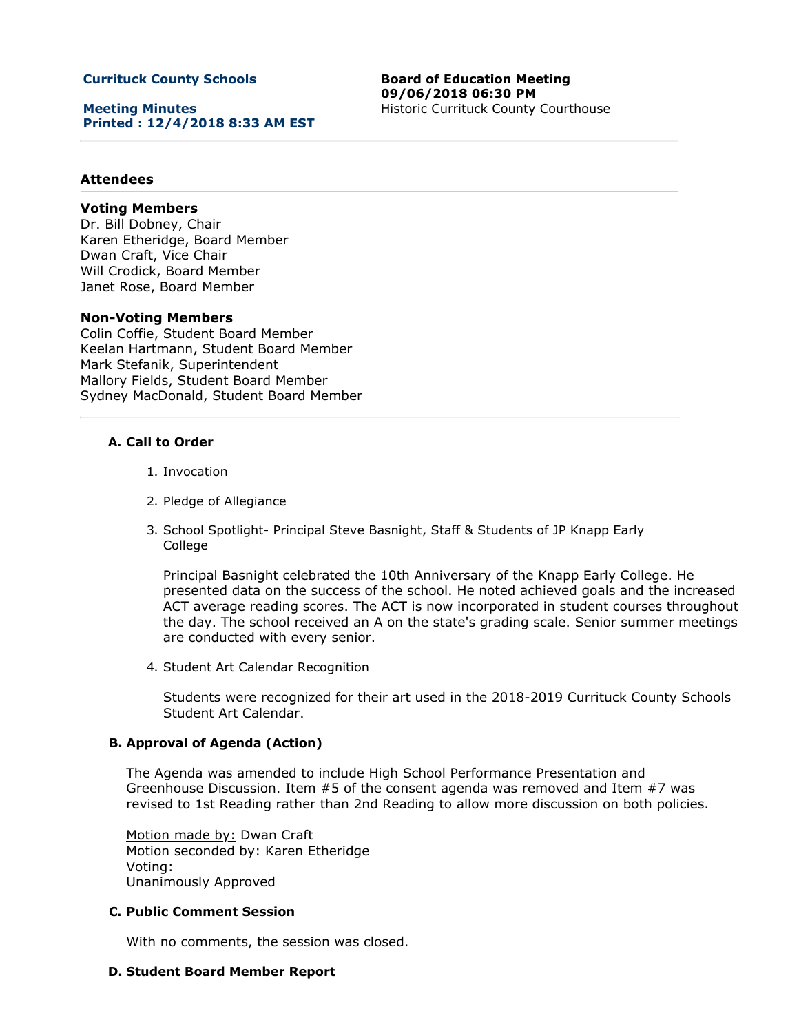## **Currituck County Schools**

**Meeting Minutes Printed : 12/4/2018 8:33 AM EST** **Board of Education Meeting 09/06/2018 06:30 PM** Historic Currituck County Courthouse

## **Attendees**

# **Voting Members**

Dr. Bill Dobney, Chair Karen Etheridge, Board Member Dwan Craft, Vice Chair Will Crodick, Board Member Janet Rose, Board Member

### **Non-Voting Members**

Colin Coffie, Student Board Member Keelan Hartmann, Student Board Member Mark Stefanik, Superintendent Mallory Fields, Student Board Member Sydney MacDonald, Student Board Member

### **A. Call to Order**

- 1. Invocation
- 2. Pledge of Allegiance
- 3. School Spotlight- Principal Steve Basnight, Staff & Students of JP Knapp Early College

Principal Basnight celebrated the 10th Anniversary of the Knapp Early College. He presented data on the success of the school. He noted achieved goals and the increased ACT average reading scores. The ACT is now incorporated in student courses throughout the day. The school received an A on the state's grading scale. Senior summer meetings are conducted with every senior.

4. Student Art Calendar Recognition

Students were recognized for their art used in the 2018-2019 Currituck County Schools Student Art Calendar.

### **B. Approval of Agenda (Action)**

The Agenda was amended to include High School Performance Presentation and Greenhouse Discussion. Item #5 of the consent agenda was removed and Item #7 was revised to 1st Reading rather than 2nd Reading to allow more discussion on both policies.

Motion made by: Dwan Craft Motion seconded by: Karen Etheridge Voting: Unanimously Approved

### **C. Public Comment Session**

With no comments, the session was closed.

#### **D. Student Board Member Report**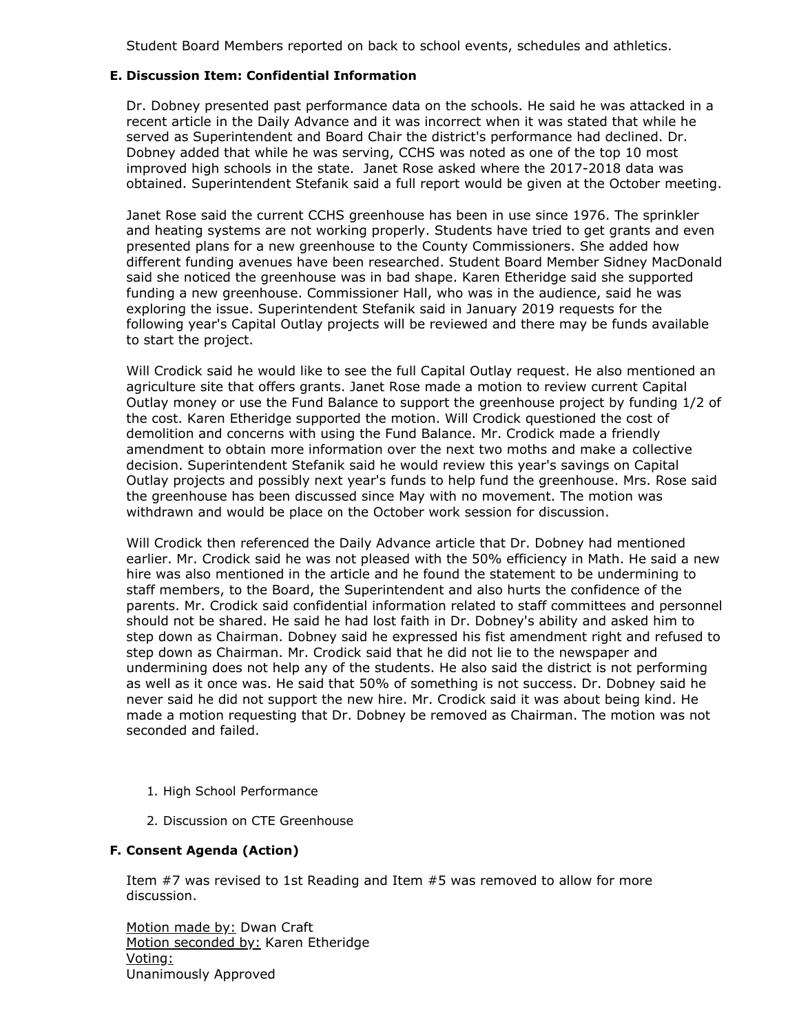Student Board Members reported on back to school events, schedules and athletics.

## **E. Discussion Item: Confidential Information**

Dr. Dobney presented past performance data on the schools. He said he was attacked in a recent article in the Daily Advance and it was incorrect when it was stated that while he served as Superintendent and Board Chair the district's performance had declined. Dr. Dobney added that while he was serving, CCHS was noted as one of the top 10 most improved high schools in the state. Janet Rose asked where the 2017-2018 data was obtained. Superintendent Stefanik said a full report would be given at the October meeting.

Janet Rose said the current CCHS greenhouse has been in use since 1976. The sprinkler and heating systems are not working properly. Students have tried to get grants and even presented plans for a new greenhouse to the County Commissioners. She added how different funding avenues have been researched. Student Board Member Sidney MacDonald said she noticed the greenhouse was in bad shape. Karen Etheridge said she supported funding a new greenhouse. Commissioner Hall, who was in the audience, said he was exploring the issue. Superintendent Stefanik said in January 2019 requests for the following year's Capital Outlay projects will be reviewed and there may be funds available to start the project.

Will Crodick said he would like to see the full Capital Outlay request. He also mentioned an agriculture site that offers grants. Janet Rose made a motion to review current Capital Outlay money or use the Fund Balance to support the greenhouse project by funding 1/2 of the cost. Karen Etheridge supported the motion. Will Crodick questioned the cost of demolition and concerns with using the Fund Balance. Mr. Crodick made a friendly amendment to obtain more information over the next two moths and make a collective decision. Superintendent Stefanik said he would review this year's savings on Capital Outlay projects and possibly next year's funds to help fund the greenhouse. Mrs. Rose said the greenhouse has been discussed since May with no movement. The motion was withdrawn and would be place on the October work session for discussion.

Will Crodick then referenced the Daily Advance article that Dr. Dobney had mentioned earlier. Mr. Crodick said he was not pleased with the 50% efficiency in Math. He said a new hire was also mentioned in the article and he found the statement to be undermining to staff members, to the Board, the Superintendent and also hurts the confidence of the parents. Mr. Crodick said confidential information related to staff committees and personnel should not be shared. He said he had lost faith in Dr. Dobney's ability and asked him to step down as Chairman. Dobney said he expressed his fist amendment right and refused to step down as Chairman. Mr. Crodick said that he did not lie to the newspaper and undermining does not help any of the students. He also said the district is not performing as well as it once was. He said that 50% of something is not success. Dr. Dobney said he never said he did not support the new hire. Mr. Crodick said it was about being kind. He made a motion requesting that Dr. Dobney be removed as Chairman. The motion was not seconded and failed.

- 1. High School Performance
- 2. Discussion on CTE Greenhouse

## **F. Consent Agenda (Action)**

Item #7 was revised to 1st Reading and Item #5 was removed to allow for more discussion.

Motion made by: Dwan Craft Motion seconded by: Karen Etheridge Voting: Unanimously Approved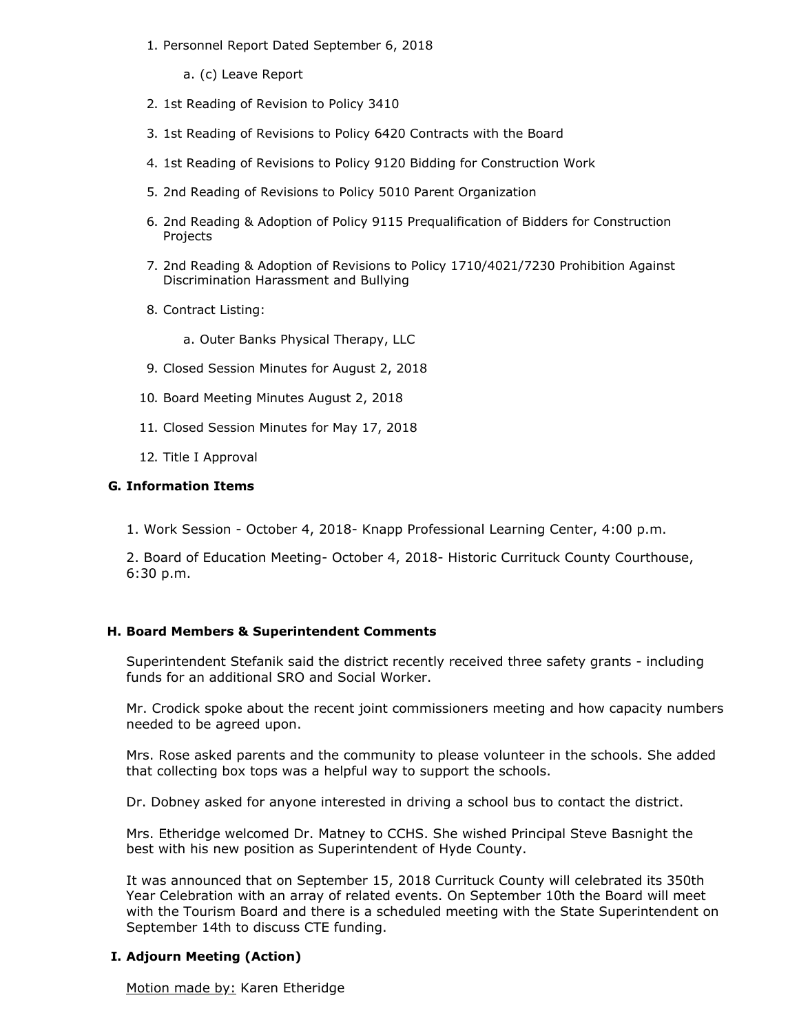- 1. Personnel Report Dated September 6, 2018
	- a. (c) Leave Report
- 2. 1st Reading of Revision to Policy 3410
- 3. 1st Reading of Revisions to Policy 6420 Contracts with the Board
- 4. 1st Reading of Revisions to Policy 9120 Bidding for Construction Work
- 5. 2nd Reading of Revisions to Policy 5010 Parent Organization
- 6. 2nd Reading & Adoption of Policy 9115 Prequalification of Bidders for Construction Projects
- 7. 2nd Reading & Adoption of Revisions to Policy 1710/4021/7230 Prohibition Against Discrimination Harassment and Bullying
- 8. Contract Listing:
	- a. Outer Banks Physical Therapy, LLC
- 9. Closed Session Minutes for August 2, 2018
- 10. Board Meeting Minutes August 2, 2018
- 11. Closed Session Minutes for May 17, 2018
- 12. Title I Approval

## **G. Information Items**

1. Work Session - October 4, 2018- Knapp Professional Learning Center, 4:00 p.m.

2. Board of Education Meeting- October 4, 2018- Historic Currituck County Courthouse, 6:30 p.m.

## **H. Board Members & Superintendent Comments**

Superintendent Stefanik said the district recently received three safety grants - including funds for an additional SRO and Social Worker.

Mr. Crodick spoke about the recent joint commissioners meeting and how capacity numbers needed to be agreed upon.

Mrs. Rose asked parents and the community to please volunteer in the schools. She added that collecting box tops was a helpful way to support the schools.

Dr. Dobney asked for anyone interested in driving a school bus to contact the district.

Mrs. Etheridge welcomed Dr. Matney to CCHS. She wished Principal Steve Basnight the best with his new position as Superintendent of Hyde County.

It was announced that on September 15, 2018 Currituck County will celebrated its 350th Year Celebration with an array of related events. On September 10th the Board will meet with the Tourism Board and there is a scheduled meeting with the State Superintendent on September 14th to discuss CTE funding.

## **I. Adjourn Meeting (Action)**

Motion made by: Karen Etheridge